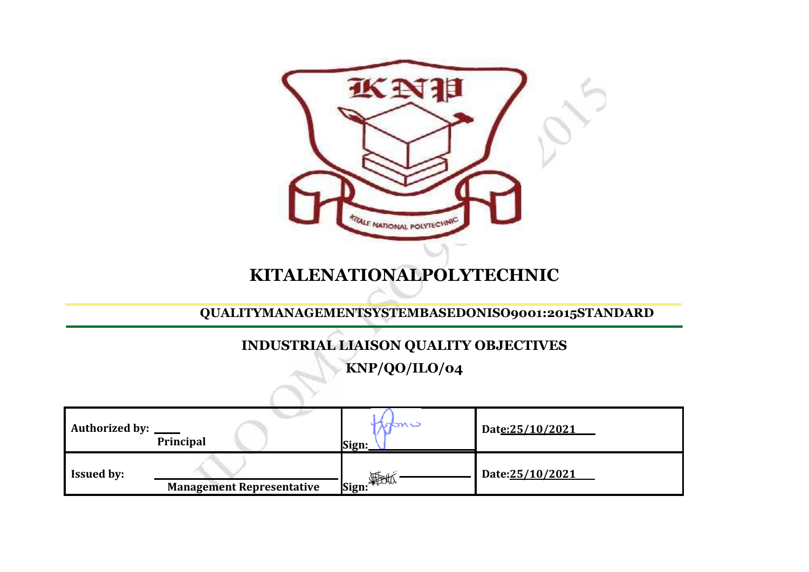| 水以拍<br>TALE NATIONAL POLYTECHNIC<br><b>KITALENATIONALPOLYTECHNIC</b><br>QUALITYMANAGEMENTSYSTEMBASEDONISO9001:2015STANDARD |                                  |            |                 |  |  |  |  |  |
|----------------------------------------------------------------------------------------------------------------------------|----------------------------------|------------|-----------------|--|--|--|--|--|
| <b>INDUSTRIAL LIAISON QUALITY OBJECTIVES</b><br>KNP/QO/ILO/04                                                              |                                  |            |                 |  |  |  |  |  |
|                                                                                                                            |                                  |            |                 |  |  |  |  |  |
| <b>Authorized by:</b>                                                                                                      | Principal                        | Sign:      | Date:25/10/2021 |  |  |  |  |  |
| <b>Issued by:</b>                                                                                                          | <b>Management Representative</b> | Sign: Fick | Date:25/10/2021 |  |  |  |  |  |